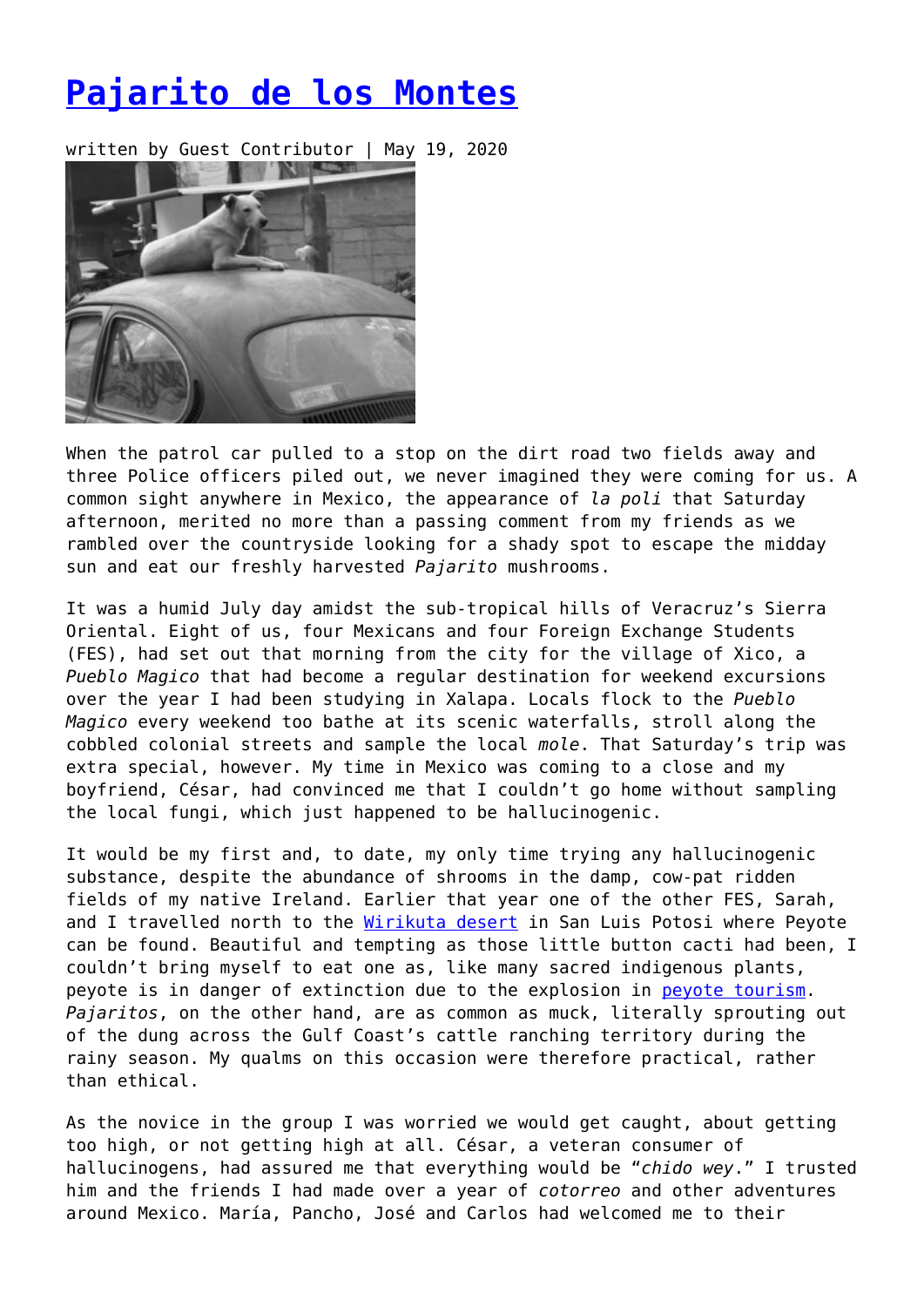## **[Pajarito de los Montes](https://entropymag.org/pajarito-de-los-montes/)**

written by Guest Contributor | May 19, 2020



When the patrol car pulled to a stop on the dirt road two fields away and three Police officers piled out, we never imagined they were coming for us. A common sight anywhere in Mexico, the appearance of *la poli* that Saturday afternoon, merited no more than a passing comment from my friends as we rambled over the countryside looking for a shady spot to escape the midday sun and eat our freshly harvested *Pajarito* mushrooms.

It was a humid July day amidst the sub-tropical hills of Veracruz's Sierra Oriental. Eight of us, four Mexicans and four Foreign Exchange Students (FES), had set out that morning from the city for the village of Xico, a *Pueblo Magico* that had become a regular destination for weekend excursions over the year I had been studying in Xalapa. Locals flock to the *Pueblo Magico* every weekend too bathe at its scenic waterfalls, stroll along the cobbled colonial streets and sample the local *mole*. That Saturday's trip was extra special, however. My time in Mexico was coming to a close and my boyfriend, César, had convinced me that I couldn't go home without sampling the local fungi, which just happened to be hallucinogenic.

It would be my first and, to date, my only time trying any hallucinogenic substance, despite the abundance of shrooms in the damp, cow-pat ridden fields of my native Ireland. Earlier that year one of the other FES, Sarah, and I travelled north to the [Wirikuta desert](https://www.opendemocracy.net/en/civilresistance/struggle-for-sacred-land-case-of-wirikuta/) in San Luis Potosi where Peyote can be found. Beautiful and tempting as those little button cacti had been, I couldn't bring myself to eat one as, like many sacred indigenous plants, peyote is in danger of extinction due to the explosion in [peyote tourism](https://www.npr.org/templates/story/story.php?storyId=14064806). *Pajaritos*, on the other hand, are as common as muck, literally sprouting out of the dung across the Gulf Coast's cattle ranching territory during the rainy season. My qualms on this occasion were therefore practical, rather than ethical.

As the novice in the group I was worried we would get caught, about getting too high, or not getting high at all. César, a veteran consumer of hallucinogens, had assured me that everything would be "*chido wey*." I trusted him and the friends I had made over a year of *cotorreo* and other adventures around Mexico. María, Pancho, José and Carlos had welcomed me to their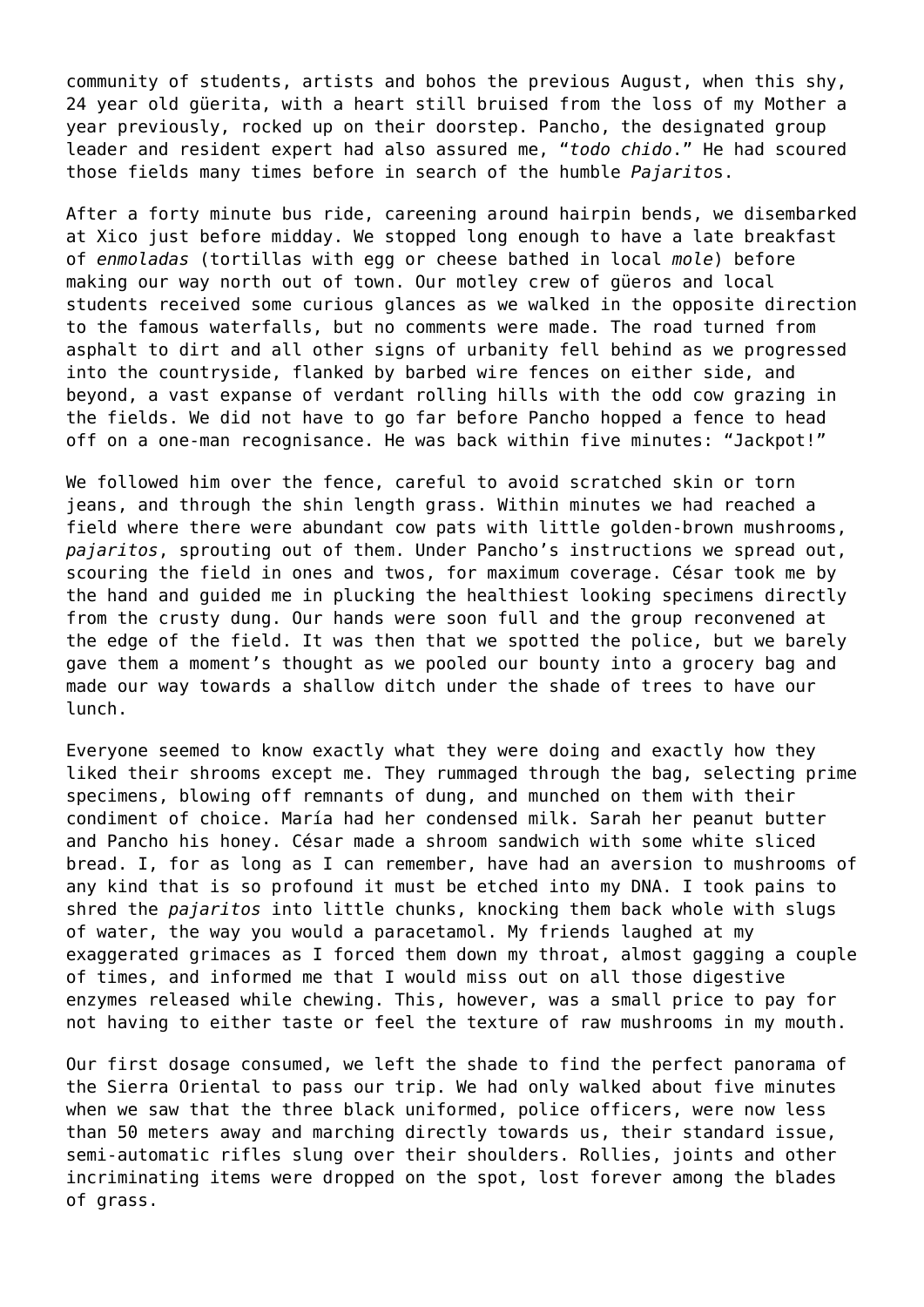community of students, artists and bohos the previous August, when this shy, 24 year old güerita, with a heart still bruised from the loss of my Mother a year previously, rocked up on their doorstep. Pancho, the designated group leader and resident expert had also assured me, "*todo chido*." He had scoured those fields many times before in search of the humble *Pajarito*s.

After a forty minute bus ride, careening around hairpin bends, we disembarked at Xico just before midday. We stopped long enough to have a late breakfast of *enmoladas* (tortillas with egg or cheese bathed in local *mole*) before making our way north out of town. Our motley crew of güeros and local students received some curious glances as we walked in the opposite direction to the famous waterfalls, but no comments were made. The road turned from asphalt to dirt and all other signs of urbanity fell behind as we progressed into the countryside, flanked by barbed wire fences on either side, and beyond, a vast expanse of verdant rolling hills with the odd cow grazing in the fields. We did not have to go far before Pancho hopped a fence to head off on a one-man recognisance. He was back within five minutes: "Jackpot!"

We followed him over the fence, careful to avoid scratched skin or torn jeans, and through the shin length grass. Within minutes we had reached a field where there were abundant cow pats with little golden-brown mushrooms, *pajaritos*, sprouting out of them. Under Pancho's instructions we spread out, scouring the field in ones and twos, for maximum coverage. César took me by the hand and guided me in plucking the healthiest looking specimens directly from the crusty dung. Our hands were soon full and the group reconvened at the edge of the field. It was then that we spotted the police, but we barely gave them a moment's thought as we pooled our bounty into a grocery bag and made our way towards a shallow ditch under the shade of trees to have our lunch.

Everyone seemed to know exactly what they were doing and exactly how they liked their shrooms except me. They rummaged through the bag, selecting prime specimens, blowing off remnants of dung, and munched on them with their condiment of choice. María had her condensed milk. Sarah her peanut butter and Pancho his honey. César made a shroom sandwich with some white sliced bread. I, for as long as I can remember, have had an aversion to mushrooms of any kind that is so profound it must be etched into my DNA. I took pains to shred the *pajaritos* into little chunks, knocking them back whole with slugs of water, the way you would a paracetamol. My friends laughed at my exaggerated grimaces as I forced them down my throat, almost gagging a couple of times, and informed me that I would miss out on all those digestive enzymes released while chewing. This, however, was a small price to pay for not having to either taste or feel the texture of raw mushrooms in my mouth.

Our first dosage consumed, we left the shade to find the perfect panorama of the Sierra Oriental to pass our trip. We had only walked about five minutes when we saw that the three black uniformed, police officers, were now less than 50 meters away and marching directly towards us, their standard issue, semi-automatic rifles slung over their shoulders. Rollies, joints and other incriminating items were dropped on the spot, lost forever among the blades of grass.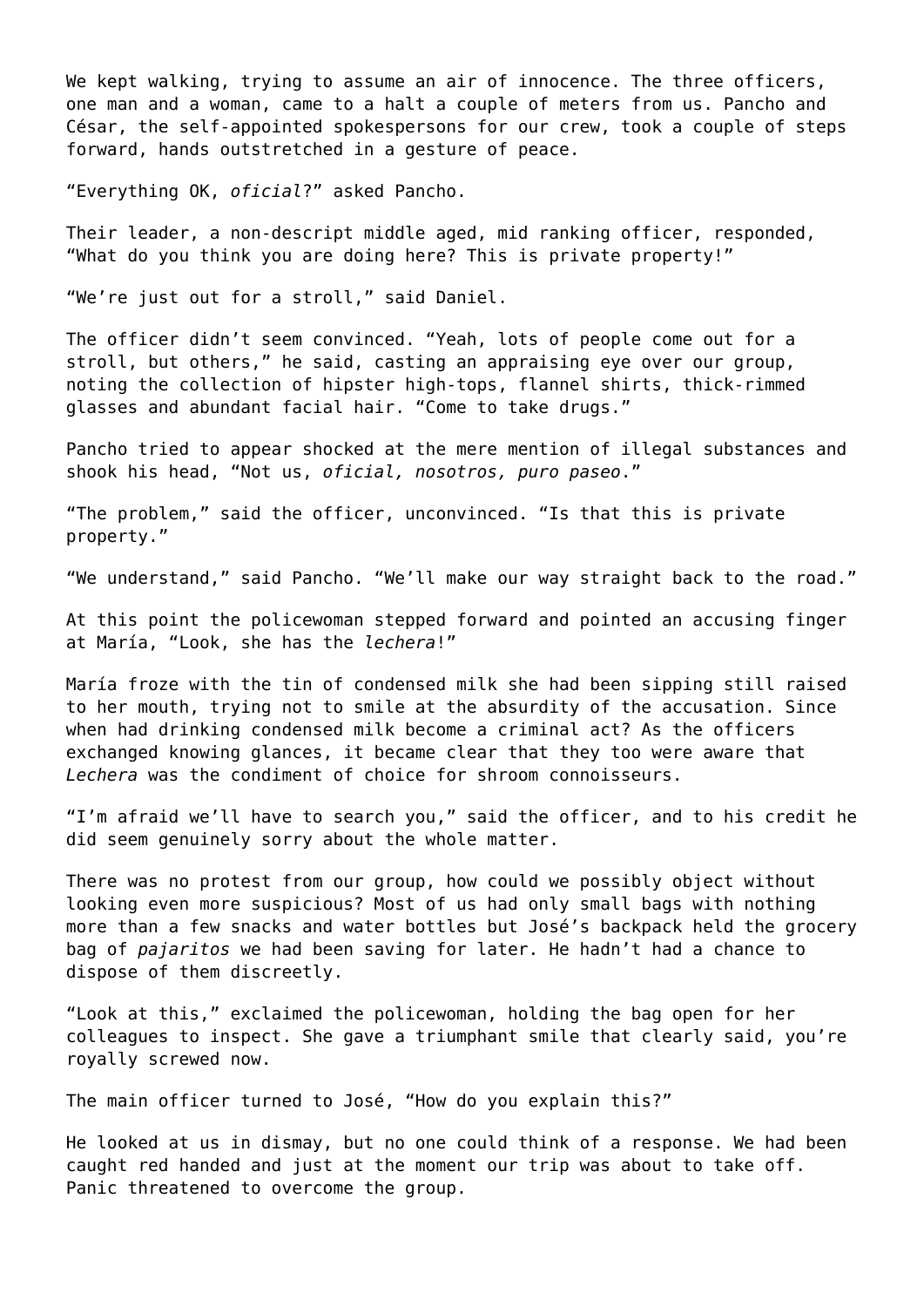We kept walking, trying to assume an air of innocence. The three officers, one man and a woman, came to a halt a couple of meters from us. Pancho and César, the self-appointed spokespersons for our crew, took a couple of steps forward, hands outstretched in a gesture of peace.

"Everything OK, *oficial*?" asked Pancho.

Their leader, a non-descript middle aged, mid ranking officer, responded, "What do you think you are doing here? This is private property!"

"We're just out for a stroll," said Daniel.

The officer didn't seem convinced. "Yeah, lots of people come out for a stroll, but others," he said, casting an appraising eye over our group, noting the collection of hipster high-tops, flannel shirts, thick-rimmed glasses and abundant facial hair. "Come to take drugs."

Pancho tried to appear shocked at the mere mention of illegal substances and shook his head, "Not us, *oficial, nosotros, puro paseo*."

"The problem," said the officer, unconvinced. "Is that this is private property."

"We understand," said Pancho. "We'll make our way straight back to the road."

At this point the policewoman stepped forward and pointed an accusing finger at María, "Look, she has the *lechera*!"

María froze with the tin of condensed milk she had been sipping still raised to her mouth, trying not to smile at the absurdity of the accusation. Since when had drinking condensed milk become a criminal act? As the officers exchanged knowing glances, it became clear that they too were aware that *Lechera* was the condiment of choice for shroom connoisseurs.

"I'm afraid we'll have to search you," said the officer, and to his credit he did seem genuinely sorry about the whole matter.

There was no protest from our group, how could we possibly object without looking even more suspicious? Most of us had only small bags with nothing more than a few snacks and water bottles but José's backpack held the grocery bag of *pajaritos* we had been saving for later. He hadn't had a chance to dispose of them discreetly.

"Look at this," exclaimed the policewoman, holding the bag open for her colleagues to inspect. She gave a triumphant smile that clearly said, you're royally screwed now.

The main officer turned to José, "How do you explain this?"

He looked at us in dismay, but no one could think of a response. We had been caught red handed and just at the moment our trip was about to take off. Panic threatened to overcome the group.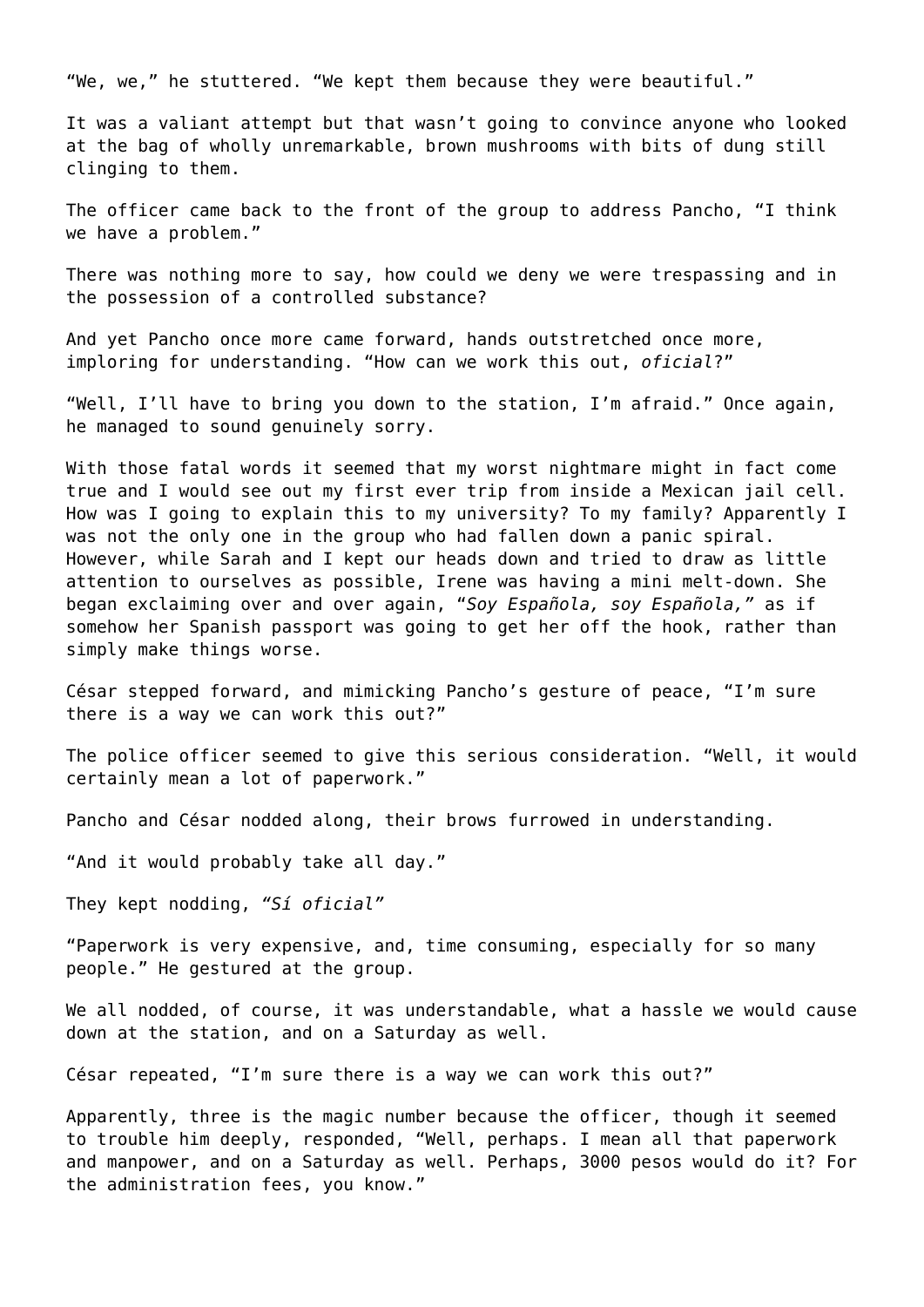"We, we," he stuttered. "We kept them because they were beautiful."

It was a valiant attempt but that wasn't going to convince anyone who looked at the bag of wholly unremarkable, brown mushrooms with bits of dung still clinging to them.

The officer came back to the front of the group to address Pancho, "I think we have a problem."

There was nothing more to say, how could we deny we were trespassing and in the possession of a controlled substance?

And yet Pancho once more came forward, hands outstretched once more, imploring for understanding. "How can we work this out, *oficial*?"

"Well, I'll have to bring you down to the station, I'm afraid." Once again, he managed to sound genuinely sorry.

With those fatal words it seemed that my worst nightmare might in fact come true and I would see out my first ever trip from inside a Mexican jail cell. How was I going to explain this to my university? To my family? Apparently I was not the only one in the group who had fallen down a panic spiral. However, while Sarah and I kept our heads down and tried to draw as little attention to ourselves as possible, Irene was having a mini melt-down. She began exclaiming over and over again, "*Soy Española, soy Española,"* as if somehow her Spanish passport was going to get her off the hook, rather than simply make things worse.

César stepped forward, and mimicking Pancho's gesture of peace, "I'm sure there is a way we can work this out?"

The police officer seemed to give this serious consideration. "Well, it would certainly mean a lot of paperwork."

Pancho and César nodded along, their brows furrowed in understanding.

"And it would probably take all day."

They kept nodding, *"Sí oficial"*

"Paperwork is very expensive, and, time consuming, especially for so many people." He gestured at the group.

We all nodded, of course, it was understandable, what a hassle we would cause down at the station, and on a Saturday as well.

César repeated, "I'm sure there is a way we can work this out?"

Apparently, three is the magic number because the officer, though it seemed to trouble him deeply, responded, "Well, perhaps. I mean all that paperwork and manpower, and on a Saturday as well. Perhaps, 3000 pesos would do it? For the administration fees, you know."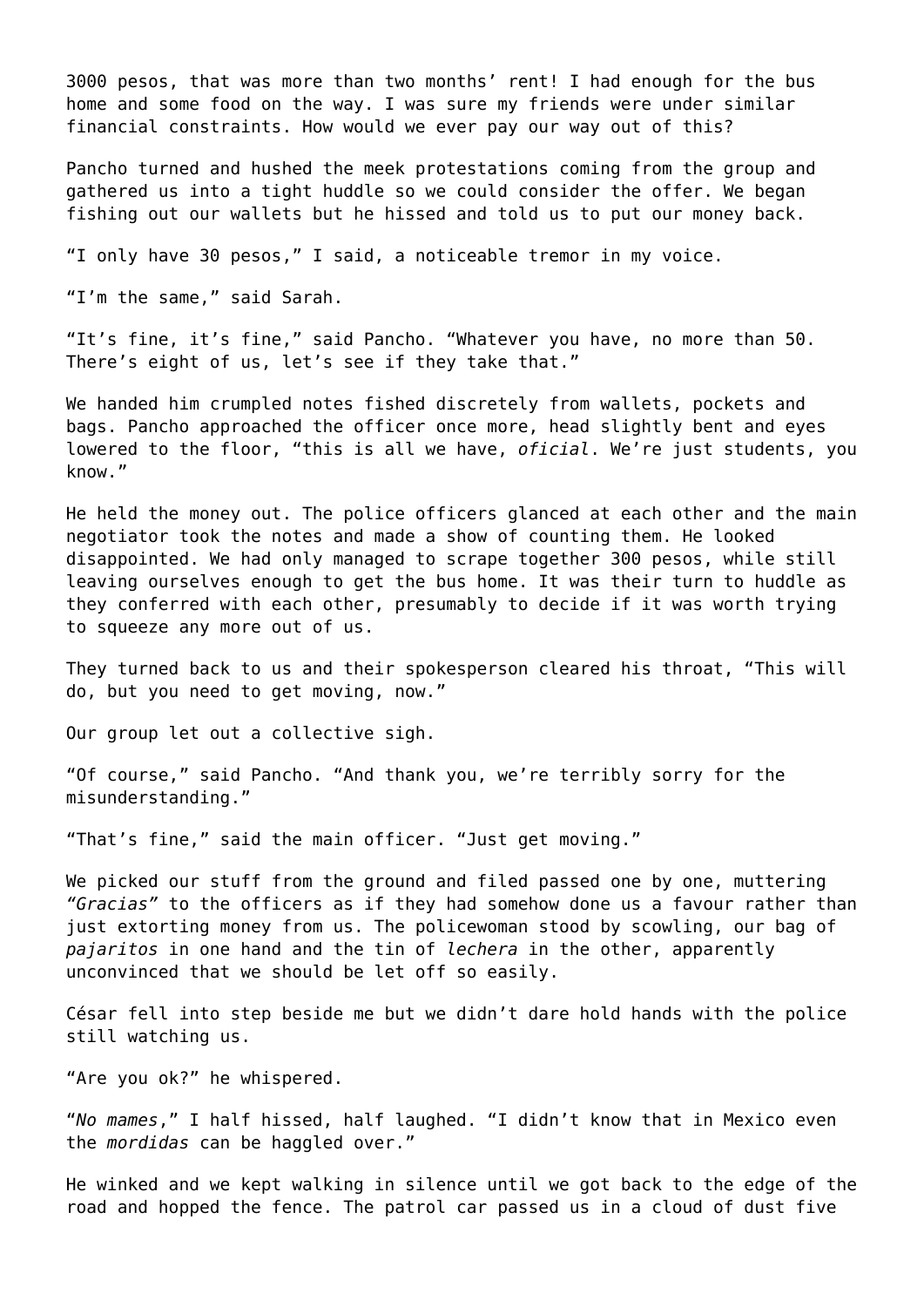3000 pesos, that was more than two months' rent! I had enough for the bus home and some food on the way. I was sure my friends were under similar financial constraints. How would we ever pay our way out of this?

Pancho turned and hushed the meek protestations coming from the group and gathered us into a tight huddle so we could consider the offer. We began fishing out our wallets but he hissed and told us to put our money back.

"I only have 30 pesos," I said, a noticeable tremor in my voice.

"I'm the same," said Sarah.

"It's fine, it's fine," said Pancho. "Whatever you have, no more than 50. There's eight of us, let's see if they take that."

We handed him crumpled notes fished discretely from wallets, pockets and bags. Pancho approached the officer once more, head slightly bent and eyes lowered to the floor, "this is all we have, *oficial*. We're just students, you know."

He held the money out. The police officers glanced at each other and the main negotiator took the notes and made a show of counting them. He looked disappointed. We had only managed to scrape together 300 pesos, while still leaving ourselves enough to get the bus home. It was their turn to huddle as they conferred with each other, presumably to decide if it was worth trying to squeeze any more out of us.

They turned back to us and their spokesperson cleared his throat, "This will do, but you need to get moving, now."

Our group let out a collective sigh.

"Of course," said Pancho. "And thank you, we're terribly sorry for the misunderstanding."

"That's fine," said the main officer. "Just get moving."

We picked our stuff from the ground and filed passed one by one, muttering *"Gracias"* to the officers as if they had somehow done us a favour rather than just extorting money from us. The policewoman stood by scowling, our bag of *pajaritos* in one hand and the tin of *lechera* in the other, apparently unconvinced that we should be let off so easily.

César fell into step beside me but we didn't dare hold hands with the police still watching us.

"Are you ok?" he whispered.

"*No mames*," I half hissed, half laughed. "I didn't know that in Mexico even the *mordidas* can be haggled over."

He winked and we kept walking in silence until we got back to the edge of the road and hopped the fence. The patrol car passed us in a cloud of dust five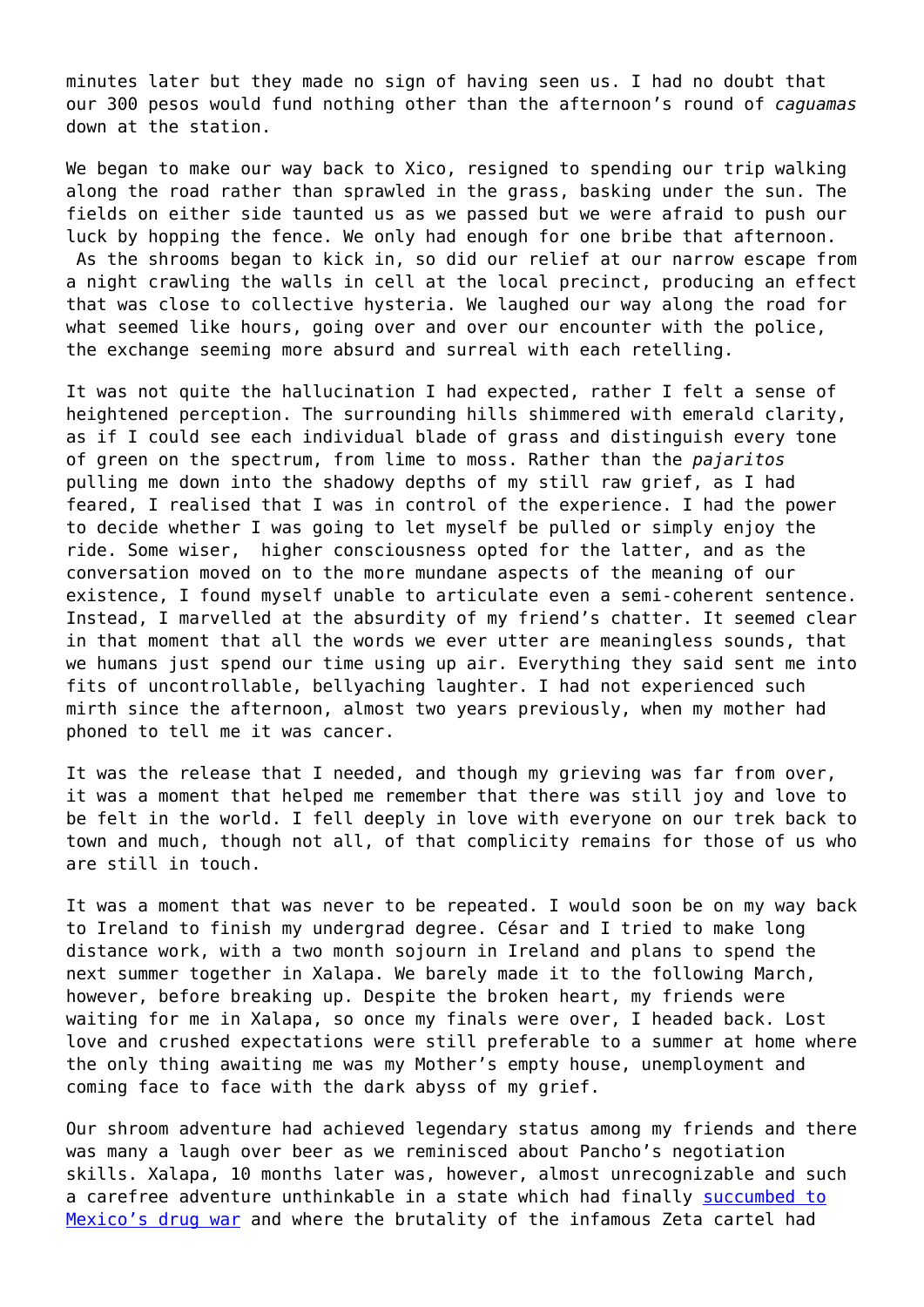minutes later but they made no sign of having seen us. I had no doubt that our 300 pesos would fund nothing other than the afternoon's round of *caguamas* down at the station.

We began to make our way back to Xico, resigned to spending our trip walking along the road rather than sprawled in the grass, basking under the sun. The fields on either side taunted us as we passed but we were afraid to push our luck by hopping the fence. We only had enough for one bribe that afternoon. As the shrooms began to kick in, so did our relief at our narrow escape from a night crawling the walls in cell at the local precinct, producing an effect that was close to collective hysteria. We laughed our way along the road for what seemed like hours, going over and over our encounter with the police, the exchange seeming more absurd and surreal with each retelling.

It was not quite the hallucination I had expected, rather I felt a sense of heightened perception. The surrounding hills shimmered with emerald clarity, as if I could see each individual blade of grass and distinguish every tone of green on the spectrum, from lime to moss. Rather than the *pajaritos* pulling me down into the shadowy depths of my still raw grief, as I had feared, I realised that I was in control of the experience. I had the power to decide whether I was going to let myself be pulled or simply enjoy the ride. Some wiser, higher consciousness opted for the latter, and as the conversation moved on to the more mundane aspects of the meaning of our existence, I found myself unable to articulate even a semi-coherent sentence. Instead, I marvelled at the absurdity of my friend's chatter. It seemed clear in that moment that all the words we ever utter are meaningless sounds, that we humans just spend our time using up air. Everything they said sent me into fits of uncontrollable, bellyaching laughter. I had not experienced such mirth since the afternoon, almost two years previously, when my mother had phoned to tell me it was cancer.

It was the release that I needed, and though my grieving was far from over, it was a moment that helped me remember that there was still joy and love to be felt in the world. I fell deeply in love with everyone on our trek back to town and much, though not all, of that complicity remains for those of us who are still in touch.

It was a moment that was never to be repeated. I would soon be on my way back to Ireland to finish my undergrad degree. César and I tried to make long distance work, with a two month sojourn in Ireland and plans to spend the next summer together in Xalapa. We barely made it to the following March, however, before breaking up. Despite the broken heart, my friends were waiting for me in Xalapa, so once my finals were over, I headed back. Lost love and crushed expectations were still preferable to a summer at home where the only thing awaiting me was my Mother's empty house, unemployment and coming face to face with the dark abyss of my grief.

Our shroom adventure had achieved legendary status among my friends and there was many a laugh over beer as we reminisced about Pancho's negotiation skills. Xalapa, 10 months later was, however, almost unrecognizable and such a carefree adventure unthinkable in a state which had finally [succumbed to](https://www.theguardian.com/world/2016/dec/08/mexico-drug-war-cartels-women-killed) [Mexico's drug war](https://www.theguardian.com/world/2016/dec/08/mexico-drug-war-cartels-women-killed) and where the brutality of the infamous Zeta cartel had